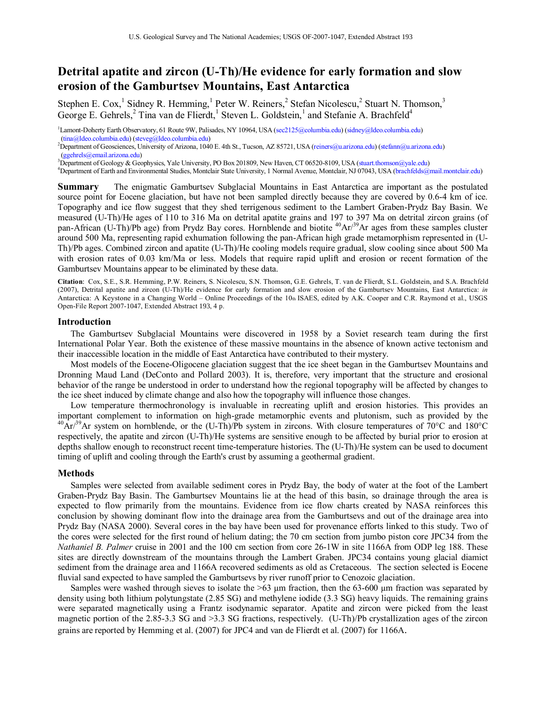# **Detrital apatite and zircon (U-Th)/He evidence for early formation and slow erosion of the Gamburtsev Mountains, East Antarctica**

Stephen E. Cox,<sup>1</sup> Sidney R. Hemming,<sup>1</sup> Peter W. Reiners,<sup>2</sup> Stefan Nicolescu,<sup>2</sup> Stuart N. Thomson,<sup>3</sup> George E. Gehrels,<sup>2</sup> Tina van de Flierdt,<sup>1</sup> Steven L. Goldstein,<sup>1</sup> and Stefanie A. Brachfeld<sup>4</sup>

<sup>1</sup>Lamont-Doherty Earth Observatory, 61 Route 9W, Palisades, NY 10964, USA ([sec2125@columbia.edu\)](mailto:sec2125@columbia.edu) [\(sidney@ldeo.columbia.edu\)](mailto:sidney@ldeo.columbia.edu) [\(tina@ldeo.columbia.edu\)](mailto:tina@ldeo.columbia.edu) ([steveg@ldeo.columbia.edu\)](mailto:steveg@ldeo.columbia.edu) 2

Department of Geosciences, University of Arizona, 1040 E. 4th St., Tucson, AZ 85721, USA [\(reiners@u.arizona.edu\)](mailto:reiners@u.arizona.edu) [\(stefann@u.arizona.edu\)](mailto:stefann@u.arizona.edu)  [\(ggehrels@email.arizona.edu\)](mailto:ggehrels@email.arizona.edu) 3

<sup>3</sup>Department of Geology & Geophysics, Yale University, PO Box 201809, New Haven, CT 06520-8109, USA (stuart.thomson@yale.edu)

Department of Earth and Environmental Studies, Montclair State University, 1 Normal Avenue, Montclair, NJ 07043, USA ([brachfelds@mail.montclair.edu\)](mailto:brachfelds@mail.montclair.edu)

**Summary** The enigmatic Gamburtsev Subglacial Mountains in East Antarctica are important as the postulated source point for Eocene glaciation, but have not been sampled directly because they are covered by 0.6-4 km of ice. Topography and ice flow suggest that they shed terrigenous sediment to the Lambert Graben-Prydz Bay Basin. We measured (U-Th)/He ages of 110 to 316 Ma on detrital apatite grains and 197 to 397 Ma on detrital zircon grains (of pan-African (U-Th)/Pb age) from Prydz Bay cores. Hornblende and biotite  ${}^{40}Ar/{}^{39}Ar$  ages from these samples cluster around 500 Ma, representing rapid exhumation following the pan-African high grade metamorphism represented in (U-Th)/Pb ages. Combined zircon and apatite (U-Th)/He cooling models require gradual, slow cooling since about 500 Ma with erosion rates of 0.03 km/Ma or less. Models that require rapid uplift and erosion or recent formation of the Gamburtsev Mountains appear to be eliminated by these data.

**Citation**: Cox, S.E., S.R. Hemming, P.W. Reiners, S. Nicolescu, S.N. Thomson, G.E. Gehrels, T. van de Flierdt, S.L. Goldstein, and S.A. Brachfeld (2007), Detrital apatite and zircon (U-Th)/He evidence for early formation and slow erosion of the Gamburtsev Mountains, East Antarctica: *in*  Antarctica: A Keystone in a Changing World – Online Proceedings of the 10th ISAES, edited by A.K. Cooper and C.R. Raymond et al., USGS Open-File Report 2007-1047, Extended Abstract 193, 4 p.

### **Introduction**

The Gamburtsev Subglacial Mountains were discovered in 1958 by a Soviet research team during the first International Polar Year. Both the existence of these massive mountains in the absence of known active tectonism and their inaccessible location in the middle of East Antarctica have contributed to their mystery.

Most models of the Eocene-Oligocene glaciation suggest that the ice sheet began in the Gamburtsev Mountains and Dronning Maud Land (DeConto and Pollard 2003). It is, therefore, very important that the structure and erosional behavior of the range be understood in order to understand how the regional topography will be affected by changes to the ice sheet induced by climate change and also how the topography will influence those changes. Low temperature thermochronology is invaluable in recreating uplift and erosion histories. This provides an

important complement to information on high-grade metamorphic events and plutonism, such as provided by the  $^{40}Ar^{39}Ar$  system on hornblende, or the (U-Th)/Pb system in zircons. With closure temperatures of 70°C and 180°C respectively, the apatite and zircon (U-Th)/He systems are sensitive enough to be affected by burial prior to erosion at depths shallow enough to reconstruct recent time-temperature histories. The (U-Th)/He system can be used to document timing of uplift and cooling through the Earth's crust by assuming a geothermal gradient.

### **Methods**

Samples were selected from available sediment cores in Prydz Bay, the body of water at the foot of the Lambert Graben-Prydz Bay Basin. The Gamburtsev Mountains lie at the head of this basin, so drainage through the area is expected to flow primarily from the mountains. Evidence from ice flow charts created by NASA reinforces this conclusion by showing dominant flow into the drainage area from the Gamburtsevs and out of the drainage area into Prydz Bay (NASA 2000). Several cores in the bay have been used for provenance efforts linked to this study. Two of the cores were selected for the first round of helium dating; the 70 cm section from jumbo piston core JPC34 from the *Nathaniel B. Palmer* cruise in 2001 and the 100 cm section from core 26-1W in site 1166A from ODP leg 188. These sites are directly downstream of the mountains through the Lambert Graben. JPC34 contains young glacial diamict sediment from the drainage area and 1166A recovered sediments as old as Cretaceous. The section selected is Eocene fluvial sand expected to have sampled the Gamburtsevs by river runoff prior to Cenozoic glaciation.<br>Samples were washed through sieves to isolate the  $>63$  µm fraction, then the 63-600 µm fraction was separated by

density using both lithium polytungstate (2.85 SG) and methylene iodide (3.3 SG) heavy liquids. The remaining grains were separated magnetically using a Frantz isodynamic separator. Apatite and zircon were picked from the least magnetic portion of the 2.85-3.3 SG and >3.3 SG fractions, respectively. (U-Th)/Pb crystallization ages of the zircon grains are reported by Hemming et al. (2007) for JPC4 and van de Flierdt et al. (2007) for 1166A.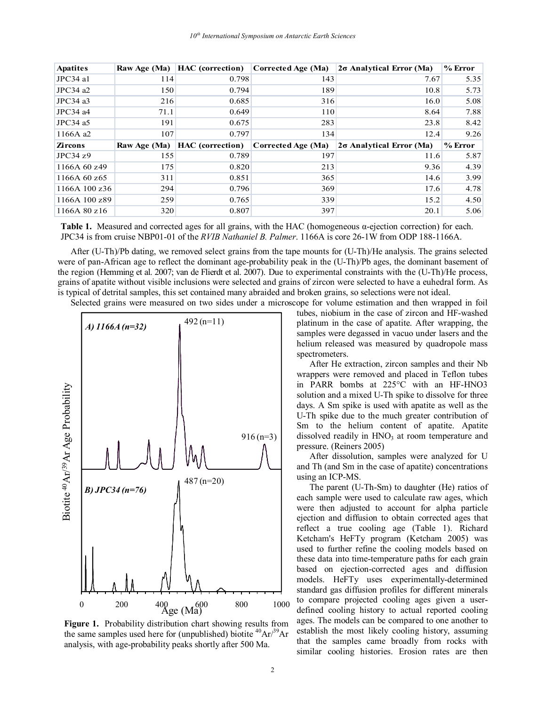| <b>Apatites</b> | Raw Age (Ma) | <b>HAC</b> (correction) | Corrected Age (Ma) | $2\sigma$ Analytical Error (Ma) | $%$ Error            |
|-----------------|--------------|-------------------------|--------------------|---------------------------------|----------------------|
| JPC34 al        | 114          | 0.798                   | 143                | 7.67                            | 5.35                 |
| JPC34a2         | 150          | 0.794                   | 189                | 10.8                            | 5.73                 |
| JPC34 a3        | 216          | 0.685                   | 316                | 16.0                            | 5.08                 |
| $JPC34$ a4      | 71.1         | 0.649                   | 110                | 8.64                            | 7.88                 |
| JPC34 a5        | 191          | 0.675                   | 283                | 23.8                            | 8.42                 |
| 1166A a2        | 107          | 0.797                   | 134                | 12.4                            | 9.26                 |
|                 |              |                         |                    |                                 |                      |
| <b>Zircons</b>  | Raw Age (Ma) | <b>HAC</b> (correction) | Corrected Age (Ma) | $2\sigma$ Analytical Error (Ma) | $%$ Error            |
| JPC34z9         | 155          | 0.789                   | 197                | 11.6                            |                      |
| 1166A 60 z49    | 175          | 0.820                   | 213                | 9.36                            |                      |
| 1166A 60 z65    | 311          | 0.851                   | 365                | 14.6                            | 5.87<br>4.39<br>3.99 |
| 1166A 100 z36   | 294          | 0.796                   | 369                | 17.6                            |                      |
| 1166A 100 z89   | 259          | 0.765                   | 339                | 15.2                            | 4.78<br>4.50         |

**Table 1.** Measured and corrected ages for all grains, with the HAC (homogeneous α-ejection correction) for each. JPC34 is from cruise NBP01-01 of the *RVIB Nathaniel B. Palmer*. 1166A is core 26-1W from ODP 188-1166A.

After (U-Th)/Pb dating, we removed select grains from the tape mounts for (U-Th)/He analysis. The grains selected were of pan-African age to reflect the dominant age-probability peak in the (U-Th)/Pb ages, the dominant basement of the region (Hemming et al. 2007; van de Flierdt et al. 2007). Due to experimental constraints with the (U-Th)/He process, grains of apatite without visible inclusions were selected and grains of zircon were selected to have a euhedral form. As is typical of detrital samples, this set contained many abraided and broken grains, so selections were not ideal. Selected grains were measured on two sides under a microscope for volume estimation and then wrapped in foil



**Figure 1.** Probability distribution chart showing results from the same samples used here for (unpublished) biotite  ${}^{40}Ar/{}^{39}Ar$ analysis, with age-probability peaks shortly after 500 Ma.

tubes, niobium in the case of zircon and HF-washed platinum in the case of apatite. After wrapping, the samples were degassed in vacuo under lasers and the helium released was measured by quadropole mass spectrometers. After He extraction, zircon samples and their Nb

wrappers were removed and placed in Teflon tubes in PARR bombs at 225°C with an HF-HNO3 solution and a mixed U-Th spike to dissolve for three days. A Sm spike is used with apatite as well as the U-Th spike due to the much greater contribution of Sm to the helium content of apatite. Apatite dissolved readily in  $HNO<sub>3</sub>$  at room temperature and pressure. (Reiners 2005)

After dissolution, samples were analyzed for U and Th (and Sm in the case of apatite) concentrations using an ICP-MS.

The parent (U-Th-Sm) to daughter (He) ratios of each sample were used to calculate raw ages, which were then adjusted to account for alpha particle ejection and diffusion to obtain corrected ages that reflect a true cooling age (Table 1). Richard Ketcham's HeFTy program (Ketcham 2005) was used to further refine the cooling models based on these data into time-temperature paths for each grain based on ejection-corrected ages and diffusion models. HeFTy uses experimentally-determined standard gas diffusion profiles for different minerals to compare projected cooling ages given a userdefined cooling history to actual reported cooling ages. The models can be compared to one another to establish the most likely cooling history, assuming that the samples came broadly from rocks with similar cooling histories. Erosion rates are then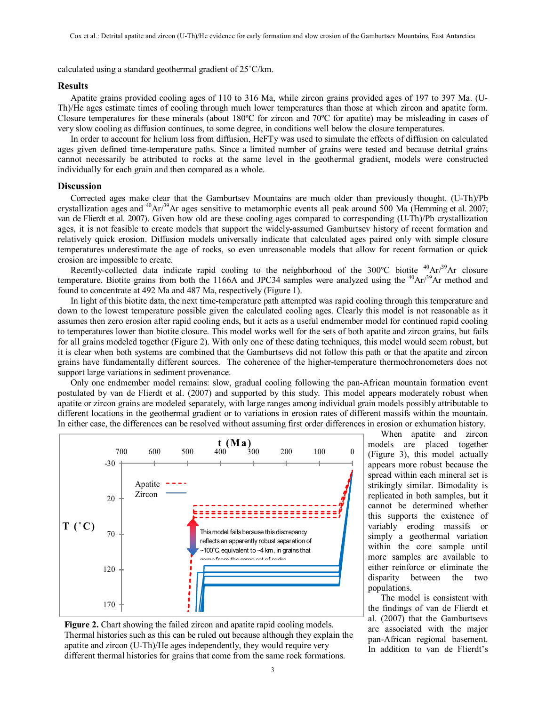calculated using a standard geothermal gradient of 25˚C/km.

## **Results**

Apatite grains provided cooling ages of 110 to 316 Ma, while zircon grains provided ages of 197 to 397 Ma. (U-Th)/He ages estimate times of cooling through much lower temperatures than those at which zircon and apatite form. Closure temperatures for these minerals (about 180ºC for zircon and 70ºC for apatite) may be misleading in cases of very slow cooling as diffusion continues, to some degree, in conditions well below the closure temperatures.<br>In order to account for helium loss from diffusion, HeFTy was used to simulate the effects of diffusion on calcul

ages given defined time-temperature paths. Since a limited number of grains were tested and because detrital grains cannot necessarily be attributed to rocks at the same level in the geothermal gradient, models were constructed individually for each grain and then compared as a whole.

## **Discussion**

Corrected ages make clear that the Gamburtsev Mountains are much older than previously thought. (U-Th)/Pb crystallization ages and <sup>40</sup>Ar/<sup>39</sup>Ar ages sensitive to metamorphic events all peak around 500 Ma (Hemming et al. 2007; van de Flierdt et al. 2007). Given how old are these cooling ages compared to corresponding (U-Th)/Pb crystallization ages, it is not feasible to create models that support the widely-assumed Gamburtsev history of recent formation and relatively quick erosion. Diffusion models universally indicate that calculated ages paired only with simple closure temperatures underestimate the age of rocks, so even unreasonable models that allow for recent formation or quick erosion are impossible to create.

Recently-collected data indicate rapid cooling to the neighborhood of the  $300^{\circ}$ C biotite  $^{40}$ Ar/ $^{39}$ Ar closure temperature. Biotite grains from both the 1166A and JPC34 samples were analyzed using the  $^{40}Ar^{39}Ar$  method and found to concentrate at 492 Ma and 487 Ma, respectively (Figure 1).

In light of this biotite data, the next time-temperature path attempted was rapid cooling through this temperature and down to the lowest temperature possible given the calculated cooling ages. Clearly this model is not reasonable as it assumes then zero erosion after rapid cooling ends, but it acts as a useful endmember model for continued rapid cooling to temperatures lower than biotite closure. This model works well for the sets of both apatite and zircon grains, but fails for all grains modeled together (Figure 2). With only one of these dating techniques, this model would seem robust, but it is clear when both systems are combined that the Gamburtsevs did not follow this path or that the apatite and zircon grains have fundamentally different sources. The coherence of the higher-temperature thermochronometers does not support large variations in sediment provenance.<br>Only one endmember model remains: slow, gradual cooling following the pan-African mountain formation event

postulated by van de Flierdt et al. (2007) and supported by this study. This model appears moderately robust when apatite or zircon grains are modeled separately, with large ranges among individual grain models possibly attributable to different locations in the geothermal gradient or to variations in erosion rates of different massifs within the mountain. In either case, the differences can be resolved without assuming first order differences in erosion or exhumation history.





When apatite and zircon models are placed together (Figure 3), this model actually appears more robust because the spread within each mineral set is strikingly similar. Bimodality is replicated in both samples, but it cannot be determined whether this supports the existence of variably eroding massifs or simply a geothermal variation within the core sample until more samples are available to either reinforce or eliminate the disparity between the two populations.

The model is consistent with the findings of van de Flierdt et al. (2007) that the Gamburtsevs are associated with the major pan-African regional basement. In addition to van de Flierdt's